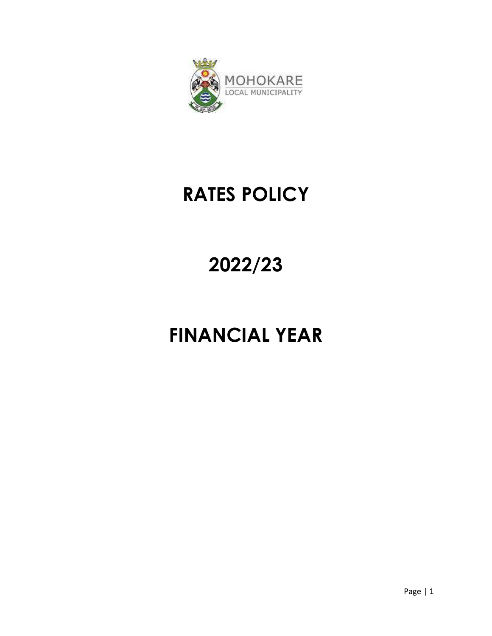

# **RATES POLICY**

# **2022/23**

# **FINANCIAL YEAR**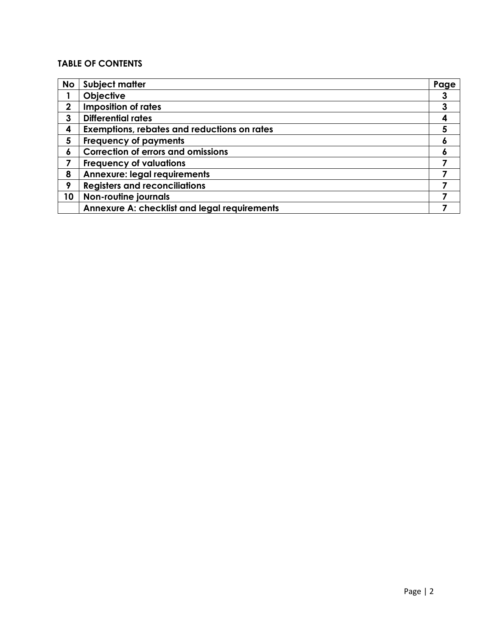# **TABLE OF CONTENTS**

| <b>No</b>   | <b>Subject matter</b>                               | Page |
|-------------|-----------------------------------------------------|------|
|             | <b>Objective</b>                                    | 3    |
| $\mathbf 2$ | <b>Imposition of rates</b>                          | 3    |
| 3           | <b>Differential rates</b>                           | 4    |
| 4           | <b>Exemptions, rebates and reductions on rates</b>  | 5    |
| 5           | <b>Frequency of payments</b>                        | ٥    |
| 6           | <b>Correction of errors and omissions</b>           |      |
| 7           | <b>Frequency of valuations</b>                      |      |
| 8           | <b>Annexure: legal requirements</b>                 |      |
| 9           | <b>Registers and reconciliations</b>                |      |
| 10          | <b>Non-routine journals</b>                         |      |
|             | <b>Annexure A: checklist and legal requirements</b> |      |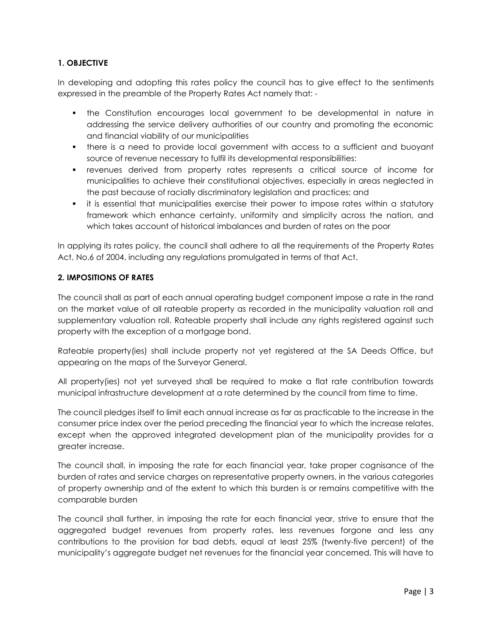# **1. OBJECTIVE**

In developing and adopting this rates policy the council has to give effect to the sentiments expressed in the preamble of the Property Rates Act namely that: -

- the Constitution encourages local government to be developmental in nature in addressing the service delivery authorities of our country and promoting the economic and financial viability of our municipalities
- there is a need to provide local government with access to a sufficient and buoyant source of revenue necessary to fulfil its developmental responsibilities:
- revenues derived from property rates represents a critical source of income for municipalities to achieve their constitutional objectives, especially in areas neglected in the past because of racially discriminatory legislation and practices; and
- it is essential that municipalities exercise their power to impose rates within a statutory framework which enhance certainty, uniformity and simplicity across the nation, and which takes account of historical imbalances and burden of rates on the poor

In applying its rates policy, the council shall adhere to all the requirements of the Property Rates Act, No.6 of 2004, including any regulations promulgated in terms of that Act.

#### **2. IMPOSITIONS OF RATES**

The council shall as part of each annual operating budget component impose a rate in the rand on the market value of all rateable property as recorded in the municipality valuation roll and supplementary valuation roll. Rateable property shall include any rights registered against such property with the exception of a mortgage bond.

Rateable property(ies) shall include property not yet registered at the SA Deeds Office, but appearing on the maps of the Surveyor General.

All property(ies) not yet surveyed shall be required to make a flat rate contribution towards municipal infrastructure development at a rate determined by the council from time to time.

The council pledges itself to limit each annual increase as far as practicable to the increase in the consumer price index over the period preceding the financial year to which the increase relates, except when the approved integrated development plan of the municipality provides for a greater increase.

The council shall, in imposing the rate for each financial year, take proper cognisance of the burden of rates and service charges on representative property owners, in the various categories of property ownership and of the extent to which this burden is or remains competitive with the comparable burden

The council shall further, in imposing the rate for each financial year, strive to ensure that the aggregated budget revenues from property rates, less revenues forgone and less any contributions to the provision for bad debts, equal at least 25% (twenty-five percent) of the municipality's aggregate budget net revenues for the financial year concerned. This will have to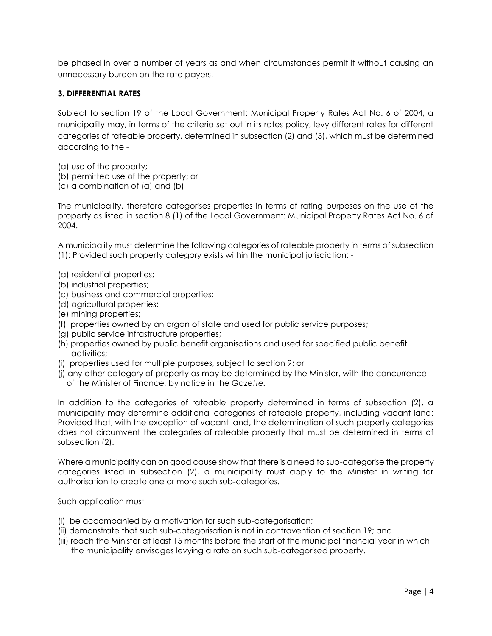be phased in over a number of years as and when circumstances permit it without causing an unnecessary burden on the rate payers.

#### **3. DIFFERENTIAL RATES**

Subject to section 19 of the Local Government: Municipal Property Rates Act No. 6 of 2004, a municipality may, in terms of the criteria set out in its rates policy, levy different rates for different categories of rateable property, determined in subsection (2) and (3), which must be determined according to the -

- (a) use of the property;
- (b) permitted use of the property; or
- (c) a combination of (a) and (b)

The municipality, therefore categorises properties in terms of rating purposes on the use of the property as listed in section 8 (1) of the Local Government: Municipal Property Rates Act No. 6 of 2004.

A municipality must determine the following categories of rateable property in terms of subsection (1): Provided such property category exists within the municipal jurisdiction: -

- (a) residential properties;
- (b) industrial properties;
- (c) business and commercial properties;
- (d) agricultural properties;
- (e) mining properties;
- (f) properties owned by an organ of state and used for public service purposes;
- (g) public service infrastructure properties;
- (h) properties owned by public benefit organisations and used for specified public benefit activities;
- (i) properties used for multiple purposes, subject to section 9; or
- (j) any other category of property as may be determined by the Minister, with the concurrence of the Minister of Finance, by notice in the *Gazette.*

In addition to the categories of rateable property determined in terms of subsection (2), a municipality may determine additional categories of rateable property, including vacant land: Provided that, with the exception of vacant land, the determination of such property categories does not circumvent the categories of rateable property that must be determined in terms of subsection (2).

Where a municipality can on good cause show that there is a need to sub-categorise the property categories listed in subsection (2), a municipality must apply to the Minister in writing for authorisation to create one or more such sub-categories.

Such application must -

- (i) be accompanied by a motivation for such sub-categorisation;
- (ii) demonstrate that such sub-categorisation is not in contravention of section 19; and
- (iii) reach the Minister at least 15 months before the start of the municipal financial year in which the municipality envisages levying a rate on such sub-categorised property.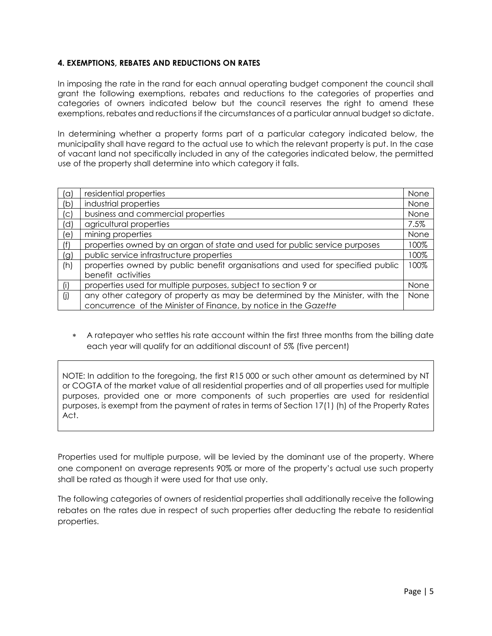### **4. EXEMPTIONS, REBATES AND REDUCTIONS ON RATES**

In imposing the rate in the rand for each annual operating budget component the council shall grant the following exemptions, rebates and reductions to the categories of properties and categories of owners indicated below but the council reserves the right to amend these exemptions, rebates and reductions if the circumstances of a particular annual budget so dictate.

In determining whether a property forms part of a particular category indicated below, the municipality shall have regard to the actual use to which the relevant property is put. In the case of vacant land not specifically included in any of the categories indicated below, the permitted use of the property shall determine into which category it falls.

| $(\alpha)$ | residential properties                                                         | None |
|------------|--------------------------------------------------------------------------------|------|
| (b)        | industrial properties                                                          | None |
| (C)        | business and commercial properties                                             | None |
| (d)        | agricultural properties                                                        | 7.5% |
| (e)        | mining properties                                                              | None |
| (f)        | properties owned by an organ of state and used for public service purposes     | 100% |
| (g)        | public service infrastructure properties                                       | 100% |
| (h)        | properties owned by public benefit organisations and used for specified public | 100% |
|            | benefit activities                                                             |      |
| (i)        | properties used for multiple purposes, subject to section 9 or                 | None |
| (j)        | any other category of property as may be determined by the Minister, with the  | None |
|            | concurrence of the Minister of Finance, by notice in the Gazette               |      |

 A ratepayer who settles his rate account within the first three months from the billing date each year will qualify for an additional discount of 5% (five percent)

NOTE: In addition to the foregoing, the first R15 000 or such other amount as determined by NT or COGTA of the market value of all residential properties and of all properties used for multiple purposes, provided one or more components of such properties are used for residential purposes, is exempt from the payment of rates in terms of Section 17(1) (h) of the Property Rates Act.

Properties used for multiple purpose, will be levied by the dominant use of the property. Where one component on average represents 90% or more of the property's actual use such property shall be rated as though it were used for that use only.

The following categories of owners of residential properties shall additionally receive the following rebates on the rates due in respect of such properties after deducting the rebate to residential properties.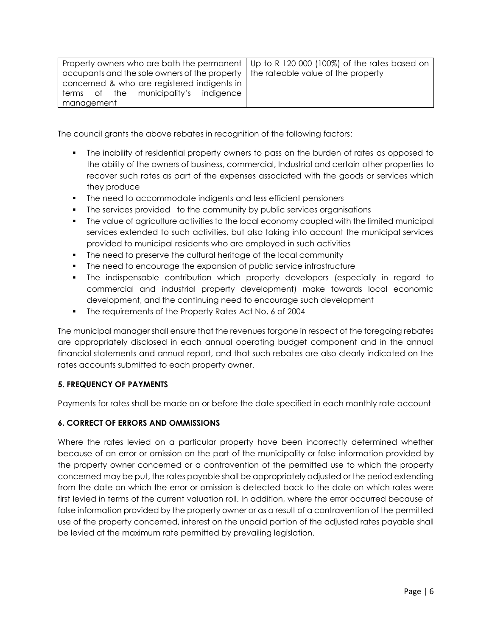| Property owners who are both the permanent   Up to R 120 000 (100%) of the rates based on |  |
|-------------------------------------------------------------------------------------------|--|
| occupants and the sole owners of the property   the rateable value of the property        |  |
| concerned & who are registered indigents in                                               |  |
| terms of the municipality's indigence                                                     |  |
| management                                                                                |  |

The council grants the above rebates in recognition of the following factors:

- The inability of residential property owners to pass on the burden of rates as opposed to the ability of the owners of business, commercial, Industrial and certain other properties to recover such rates as part of the expenses associated with the goods or services which they produce
- **The need to accommodate indigents and less efficient pensioners**
- The services provided to the community by public services organisations
- **The value of agriculture activities to the local economy coupled with the limited municipal** services extended to such activities, but also taking into account the municipal services provided to municipal residents who are employed in such activities
- **The need to preserve the cultural heritage of the local community**
- The need to encourage the expansion of public service infrastructure
- The indispensable contribution which property developers (especially in regard to commercial and industrial property development) make towards local economic development, and the continuing need to encourage such development
- The requirements of the Property Rates Act No. 6 of 2004

The municipal manager shall ensure that the revenues forgone in respect of the foregoing rebates are appropriately disclosed in each annual operating budget component and in the annual financial statements and annual report, and that such rebates are also clearly indicated on the rates accounts submitted to each property owner.

# **5. FREQUENCY OF PAYMENTS**

Payments for rates shall be made on or before the date specified in each monthly rate account

# **6. CORRECT OF ERRORS AND OMMISSIONS**

Where the rates levied on a particular property have been incorrectly determined whether because of an error or omission on the part of the municipality or false information provided by the property owner concerned or a contravention of the permitted use to which the property concerned may be put, the rates payable shall be appropriately adjusted or the period extending from the date on which the error or omission is detected back to the date on which rates were first levied in terms of the current valuation roll. In addition, where the error occurred because of false information provided by the property owner or as a result of a contravention of the permitted use of the property concerned, interest on the unpaid portion of the adjusted rates payable shall be levied at the maximum rate permitted by prevailing legislation.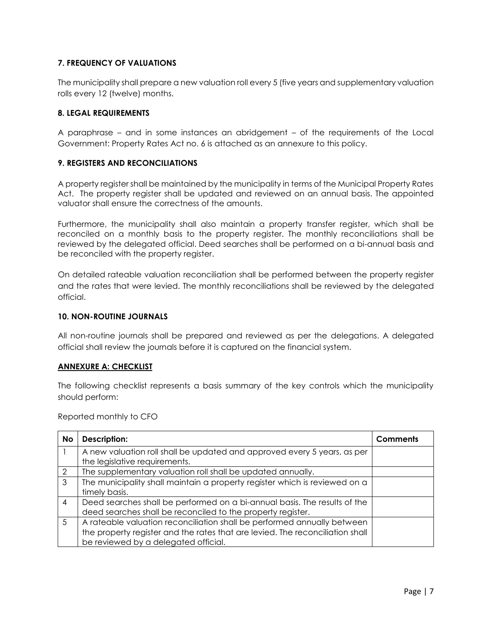# **7. FREQUENCY OF VALUATIONS**

The municipality shall prepare a new valuation roll every 5 (five years and supplementary valuation rolls every 12 (twelve) months.

#### **8. LEGAL REQUIREMENTS**

A paraphrase – and in some instances an abridgement – of the requirements of the Local Government: Property Rates Act no. 6 is attached as an annexure to this policy.

#### **9. REGISTERS AND RECONCILIATIONS**

A property register shall be maintained by the municipality in terms of the Municipal Property Rates Act. The property register shall be updated and reviewed on an annual basis. The appointed valuator shall ensure the correctness of the amounts.

Furthermore, the municipality shall also maintain a property transfer register, which shall be reconciled on a monthly basis to the property register. The monthly reconciliations shall be reviewed by the delegated official. Deed searches shall be performed on a bi-annual basis and be reconciled with the property register.

On detailed rateable valuation reconciliation shall be performed between the property register and the rates that were levied. The monthly reconciliations shall be reviewed by the delegated official.

#### **10. NON-ROUTINE JOURNALS**

All non-routine journals shall be prepared and reviewed as per the delegations. A delegated official shall review the journals before it is captured on the financial system.

#### **ANNEXURE A: CHECKLIST**

The following checklist represents a basis summary of the key controls which the municipality should perform:

Reported monthly to CFO

| No            | Description:                                                                  | Comments |
|---------------|-------------------------------------------------------------------------------|----------|
|               | A new valuation roll shall be updated and approved every 5 years, as per      |          |
|               | the legislative requirements.                                                 |          |
| $\mathcal{P}$ | The supplementary valuation roll shall be updated annually.                   |          |
| 3             | The municipality shall maintain a property register which is reviewed on a    |          |
|               | timely basis.                                                                 |          |
| 4             | Deed searches shall be performed on a bi-annual basis. The results of the     |          |
|               | deed searches shall be reconciled to the property register.                   |          |
| 5             | A rateable valuation reconciliation shall be performed annually between       |          |
|               | the property register and the rates that are levied. The reconciliation shall |          |
|               | be reviewed by a delegated official.                                          |          |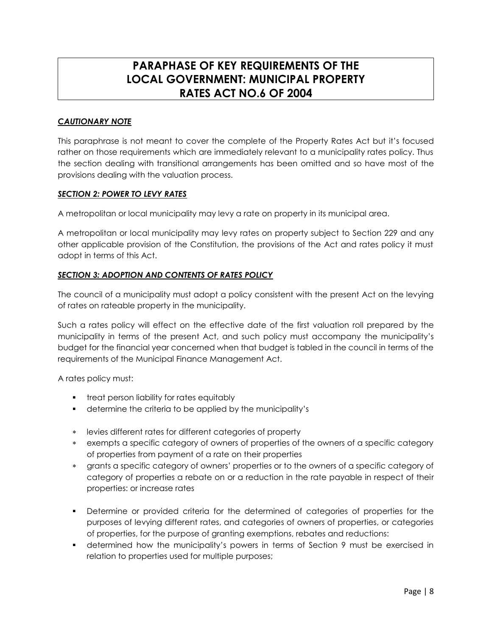# **PARAPHASE OF KEY REQUIREMENTS OF THE LOCAL GOVERNMENT: MUNICIPAL PROPERTY RATES ACT NO.6 OF 2004**

# *CAUTIONARY NOTE*

This paraphrase is not meant to cover the complete of the Property Rates Act but it's focused rather on those requirements which are immediately relevant to a municipality rates policy. Thus the section dealing with transitional arrangements has been omitted and so have most of the provisions dealing with the valuation process.

#### *SECTION 2: POWER TO LEVY RATES*

A metropolitan or local municipality may levy a rate on property in its municipal area.

A metropolitan or local municipality may levy rates on property subject to Section 229 and any other applicable provision of the Constitution, the provisions of the Act and rates policy it must adopt in terms of this Act.

#### *SECTION 3: ADOPTION AND CONTENTS OF RATES POLICY*

The council of a municipality must adopt a policy consistent with the present Act on the levying of rates on rateable property in the municipality.

Such a rates policy will effect on the effective date of the first valuation roll prepared by the municipality in terms of the present Act, and such policy must accompany the municipality's budget for the financial year concerned when that budget is tabled in the council in terms of the requirements of the Municipal Finance Management Act.

A rates policy must:

- **treat person liability for rates equitably**
- determine the criteria to be applied by the municipality's
- levies different rates for different categories of property
- exempts a specific category of owners of properties of the owners of a specific category of properties from payment of a rate on their properties
- grants a specific category of owners' properties or to the owners of a specific category of category of properties a rebate on or a reduction in the rate payable in respect of their properties: or increase rates
- Determine or provided criteria for the determined of categories of properties for the purposes of levying different rates, and categories of owners of properties, or categories of properties, for the purpose of granting exemptions, rebates and reductions:
- determined how the municipality's powers in terms of Section 9 must be exercised in relation to properties used for multiple purposes;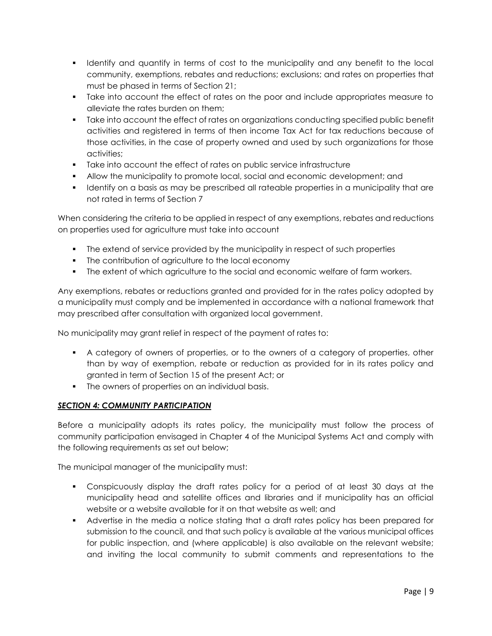- I Identify and quantify in terms of cost to the municipality and any benefit to the local community, exemptions, rebates and reductions; exclusions; and rates on properties that must be phased in terms of Section 21;
- Take into account the effect of rates on the poor and include appropriates measure to alleviate the rates burden on them;
- Take into account the effect of rates on organizations conducting specified public benefit activities and registered in terms of then income Tax Act for tax reductions because of those activities, in the case of property owned and used by such organizations for those activities;
- Take into account the effect of rates on public service infrastructure
- Allow the municipality to promote local, social and economic development; and
- I dentify on a basis as may be prescribed all rateable properties in a municipality that are not rated in terms of Section 7

When considering the criteria to be applied in respect of any exemptions, rebates and reductions on properties used for agriculture must take into account

- The extend of service provided by the municipality in respect of such properties
- The contribution of agriculture to the local economy
- **The extent of which agriculture to the social and economic welfare of farm workers.**

Any exemptions, rebates or reductions granted and provided for in the rates policy adopted by a municipality must comply and be implemented in accordance with a national framework that may prescribed after consultation with organized local government.

No municipality may grant relief in respect of the payment of rates to:

- A category of owners of properties, or to the owners of a category of properties, other than by way of exemption, rebate or reduction as provided for in its rates policy and granted in term of Section 15 of the present Act; or
- The owners of properties on an individual basis.

# **SECTION 4: COMMUNITY PARTICIPATION**

Before a municipality adopts its rates policy, the municipality must follow the process of community participation envisaged in Chapter 4 of the Municipal Systems Act and comply with the following requirements as set out below;

The municipal manager of the municipality must:

- Conspicuously display the draft rates policy for a period of at least 30 days at the municipality head and satellite offices and libraries and if municipality has an official website or a website available for it on that website as well; and
- Advertise in the media a notice stating that a draft rates policy has been prepared for submission to the council, and that such policy is available at the various municipal offices for public inspection, and (where applicable) is also available on the relevant website; and inviting the local community to submit comments and representations to the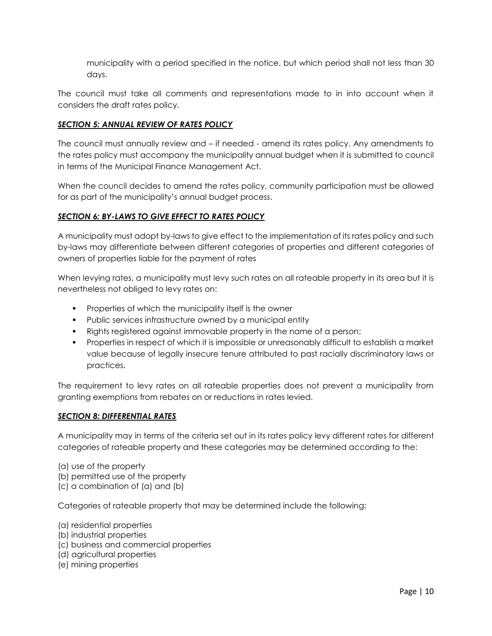municipality with a period specified in the notice, but which period shall not less than 30 days.

The council must take all comments and representations made to in into account when it considers the draft rates policy.

#### *SECTION 5: ANNUAL REVIEW OF RATES POLICY*

The council must annually review and – if needed - amend its rates policy. Any amendments to the rates policy must accompany the municipality annual budget when it is submitted to council in terms of the Municipal Finance Management Act.

When the council decides to amend the rates policy, community participation must be allowed for as part of the municipality's annual budget process.

#### *SECTION 6: BY-LAWS TO GIVE EFFECT TO RATES POLICY*

A municipality must adopt by-laws to give effect to the implementation of its rates policy and such by-laws may differentiate between different categories of properties and different categories of owners of properties liable for the payment of rates

When levying rates, a municipality must levy such rates on all rateable property in its area but it is nevertheless not obliged to levy rates on:

- **Properties of which the municipality itself is the owner**
- Public services infrastructure owned by a municipal entity
- Rights registered against immovable property in the name of a person;
- Properties in respect of which it is impossible or unreasonably difficult to establish a market value because of legally insecure tenure attributed to past racially discriminatory laws or practices.

The requirement to levy rates on all rateable properties does not prevent a municipality from granting exemptions from rebates on or reductions in rates levied.

#### *SECTION 8: DIFFERENTIAL RATES*

A municipality may in terms of the criteria set out in its rates policy levy different rates for different categories of rateable property and these categories may be determined according to the:

- (a) use of the property
- (b) permitted use of the property
- (c) a combination of (a) and (b)

Categories of rateable property that may be determined include the following:

- (a) residential properties
- (b) industrial properties
- (c) business and commercial properties
- (d) agricultural properties
- (e) mining properties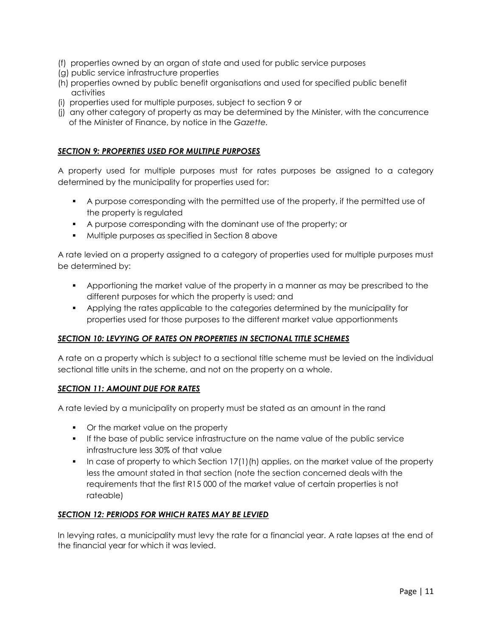- (f) properties owned by an organ of state and used for public service purposes
- (g) public service infrastructure properties
- (h) properties owned by public benefit organisations and used for specified public benefit activities
- (i) properties used for multiple purposes, subject to section 9 or
- (j) any other category of property as may be determined by the Minister, with the concurrence of the Minister of Finance, by notice in the *Gazette.*

#### *SECTION 9: PROPERTIES USED FOR MULTIPLE PURPOSES*

A property used for multiple purposes must for rates purposes be assigned to a category determined by the municipality for properties used for:

- A purpose corresponding with the permitted use of the property, if the permitted use of the property is regulated
- A purpose corresponding with the dominant use of the property; or
- Multiple purposes as specified in Section 8 above

A rate levied on a property assigned to a category of properties used for multiple purposes must be determined by:

- Apportioning the market value of the property in a manner as may be prescribed to the different purposes for which the property is used; and
- Applying the rates applicable to the categories determined by the municipality for properties used for those purposes to the different market value apportionments

#### *SECTION 10: LEVYING OF RATES ON PROPERTIES IN SECTIONAL TITLE SCHEMES*

A rate on a property which is subject to a sectional title scheme must be levied on the individual sectional title units in the scheme, and not on the property on a whole.

#### *SECTION 11: AMOUNT DUE FOR RATES*

A rate levied by a municipality on property must be stated as an amount in the rand

- Or the market value on the property
- If the base of public service infrastructure on the name value of the public service infrastructure less 30% of that value
- In case of property to which Section  $17(1)$ (h) applies, on the market value of the property less the amount stated in that section (note the section concerned deals with the requirements that the first R15 000 of the market value of certain properties is not rateable)

# *SECTION 12: PERIODS FOR WHICH RATES MAY BE LEVIED*

In levying rates, a municipality must levy the rate for a financial year. A rate lapses at the end of the financial year for which it was levied.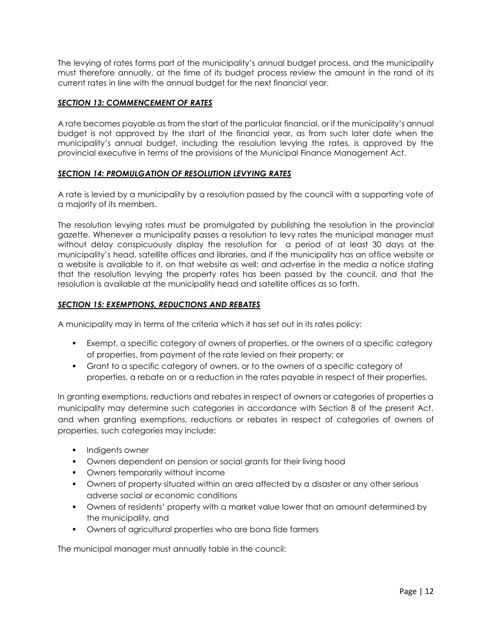The levying of rates forms part of the municipality's annual budget process, and the municipality must therefore annually, at the time of its budget process review the amount in the rand of its current rates in line with the annual budget for the next financial year.

#### *SECTION 13: COMMENCEMENT OF RATES*

A rate becomes payable as from the start of the particular financial, or if the municipality's annual budget is not approved by the start of the financial year, as from such later date when the municipality's annual budget, including the resolution levying the rates, is approved by the provincial executive in terms of the provisions of the Municipal Finance Management Act.

#### *SECTION 14: PROMULGATION OF RESOLUTION LEVYING RATES*

A rate is levied by a municipality by a resolution passed by the council with a supporting vote of a majority of its members.

The resolution levying rates must be promulgated by publishing the resolution in the provincial gazette. Whenever a municipality passes a resolution to levy rates the municipal manager must without delay conspicuously display the resolution for a period of at least 30 days at the municipality's head, satellite offices and libraries, and if the municipality has an office website or a website is available to it, on that website as well; and advertise in the media a notice stating that the resolution levying the property rates has been passed by the council, and that the resolution is available at the municipality head and satellite offices as so forth.

#### *SECTION 15: EXEMPTIONS, REDUCTIONS AND REBATES*

A municipality may in terms of the criteria which it has set out in its rates policy:

- Exempt, a specific category of owners of properties, or the owners of a specific category of properties, from payment of the rate levied on their property; or
- Grant to a specific category of owners, or to the owners of a specific category of properties, a rebate on or a reduction in the rates payable in respect of their properties.

In granting exemptions, reductions and rebates in respect of owners or categories of properties a municipality may determine such categories in accordance with Section 8 of the present Act, and when granting exemptions, reductions or rebates in respect of categories of owners of properties, such categories may include:

- **Indigents owner**
- **•** Owners dependent on pension or social grants for their living hood
- **•** Owners temporarily without income
- Owners of property situated within an area affected by a disaster or any other serious adverse social or economic conditions
- Owners of residents' property with a market value lower that an amount determined by the municipality, and
- Owners of agricultural properties who are bona fide farmers

The municipal manager must annually table in the council: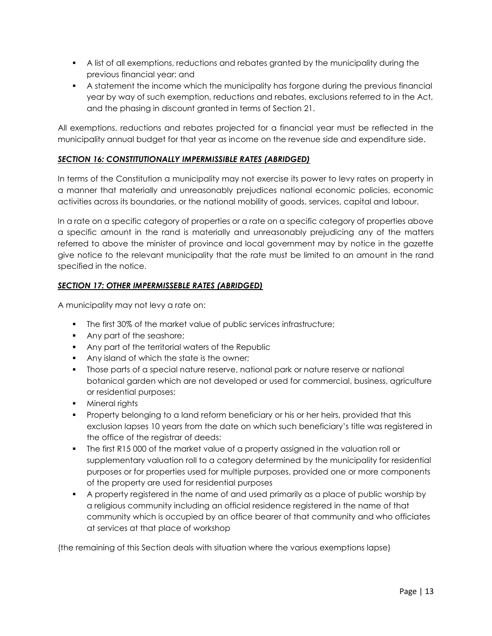- A list of all exemptions, reductions and rebates granted by the municipality during the previous financial year; and
- A statement the income which the municipality has forgone during the previous financial year by way of such exemption, reductions and rebates, exclusions referred to in the Act, and the phasing in discount granted in terms of Section 21.

All exemptions, reductions and rebates projected for a financial year must be reflected in the municipality annual budget for that year as income on the revenue side and expenditure side.

### *SECTION 16: CONSTITUTIONALLY IMPERMISSIBLE RATES (ABRIDGED)*

In terms of the Constitution a municipality may not exercise its power to levy rates on property in a manner that materially and unreasonably prejudices national economic policies, economic activities across its boundaries, or the national mobility of goods, services, capital and labour.

In a rate on a specific category of properties or a rate on a specific category of properties above a specific amount in the rand is materially and unreasonably prejudicing any of the matters referred to above the minister of province and local government may by notice in the gazette give notice to the relevant municipality that the rate must be limited to an amount in the rand specified in the notice.

#### *SECTION 17: OTHER IMPERMISSEBLE RATES (ABRIDGED)*

A municipality may not levy a rate on:

- The first 30% of the market value of public services infrastructure;
- Any part of the seashore;
- **Any part of the territorial waters of the Republic**
- Any island of which the state is the owner;
- Those parts of a special nature reserve, national park or nature reserve or national botanical garden which are not developed or used for commercial, business, agriculture or residential purposes;
- **Mineral rights**
- **Property belonging to a land reform beneficiary or his or her heirs, provided that this** exclusion lapses 10 years from the date on which such beneficiary's title was registered in the office of the registrar of deeds:
- The first R15 000 of the market value of a property assigned in the valuation roll or supplementary valuation roll to a category determined by the municipality for residential purposes or for properties used for multiple purposes, provided one or more components of the property are used for residential purposes
- A property registered in the name of and used primarily as a place of public worship by a religious community including an official residence registered in the name of that community which is occupied by an office bearer of that community and who officiates at services at that place of workshop

(the remaining of this Section deals with situation where the various exemptions lapse)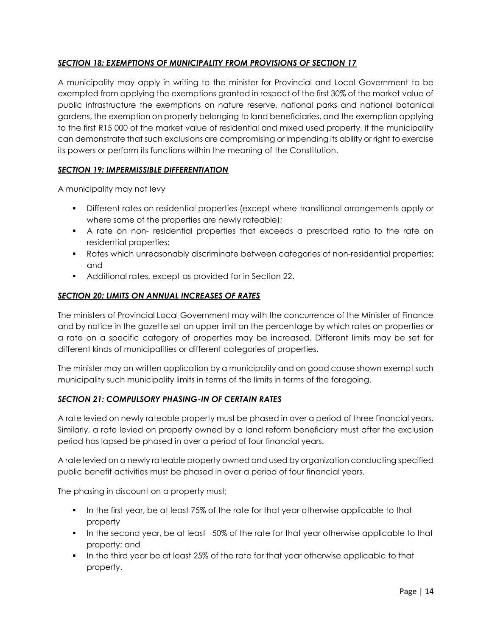# *SECTION 18: EXEMPTIONS OF MUNICIPALITY FROM PROVISIONS OF SECTION 17*

A municipality may apply in writing to the minister for Provincial and Local Government to be exempted from applying the exemptions granted in respect of the first 30% of the market value of public infrastructure the exemptions on nature reserve, national parks and national botanical gardens, the exemption on property belonging to land beneficiaries, and the exemption applying to the first R15 000 of the market value of residential and mixed used property, if the municipality can demonstrate that such exclusions are compromising or impending its ability or right to exercise its powers or perform its functions within the meaning of the Constitution.

# *SECTION 19: IMPERMISSIBLE DIFFERENTIATION*

A municipality may not levy

- Different rates on residential properties (except where transitional arrangements apply or where some of the properties are newly rateable);
- A rate on non- residential properties that exceeds a prescribed ratio to the rate on residential properties;
- Rates which unreasonably discriminate between categories of non-residential properties; and
- Additional rates, except as provided for in Section 22.

# *SECTION 20: LIMITS ON ANNUAL INCREASES OF RATES*

The ministers of Provincial Local Government may with the concurrence of the Minister of Finance and by notice in the gazette set an upper limit on the percentage by which rates on properties or a rate on a specific category of properties may be increased. Different limits may be set for different kinds of municipalities or different categories of properties.

The minister may on written application by a municipality and on good cause shown exempt such municipality such municipality limits in terms of the limits in terms of the foregoing.

#### *SECTION 21: COMPULSORY PHASING-IN OF CERTAIN RATES*

A rate levied on newly rateable property must be phased in over a period of three financial years. Similarly, a rate levied on property owned by a land reform beneficiary must after the exclusion period has lapsed be phased in over a period of four financial years.

A rate levied on a newly rateable property owned and used by organization conducting specified public benefit activities must be phased in over a period of four financial years.

The phasing in discount on a property must;

- In the first year, be at least 75% of the rate for that year otherwise applicable to that property
- In the second year, be at least 50% of the rate for that year otherwise applicable to that property; and
- In the third year be at least 25% of the rate for that year otherwise applicable to that property.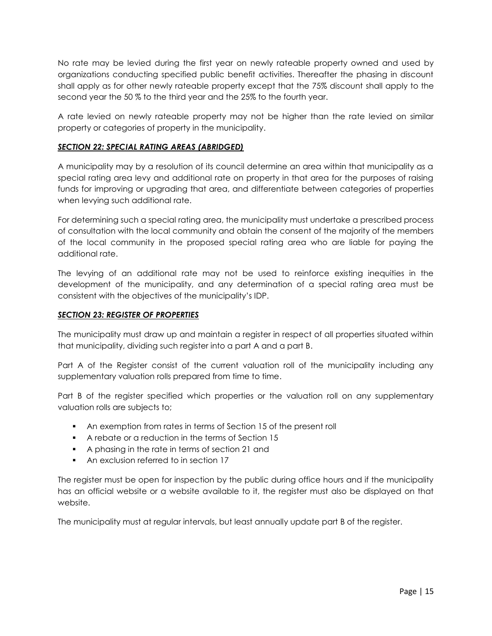No rate may be levied during the first year on newly rateable property owned and used by organizations conducting specified public benefit activities. Thereafter the phasing in discount shall apply as for other newly rateable property except that the 75% discount shall apply to the second year the 50 % to the third year and the 25% to the fourth year.

A rate levied on newly rateable property may not be higher than the rate levied on similar property or categories of property in the municipality.

#### *SECTION 22: SPECIAL RATING AREAS (ABRIDGED)*

A municipality may by a resolution of its council determine an area within that municipality as a special rating area levy and additional rate on property in that area for the purposes of raising funds for improving or upgrading that area, and differentiate between categories of properties when levying such additional rate.

For determining such a special rating area, the municipality must undertake a prescribed process of consultation with the local community and obtain the consent of the majority of the members of the local community in the proposed special rating area who are liable for paying the additional rate.

The levying of an additional rate may not be used to reinforce existing inequities in the development of the municipality, and any determination of a special rating area must be consistent with the objectives of the municipality's IDP.

#### *SECTION 23: REGISTER OF PROPERTIES*

The municipality must draw up and maintain a register in respect of all properties situated within that municipality, dividing such register into a part A and a part B.

Part A of the Register consist of the current valuation roll of the municipality including any supplementary valuation rolls prepared from time to time.

Part B of the register specified which properties or the valuation roll on any supplementary valuation rolls are subjects to;

- An exemption from rates in terms of Section 15 of the present roll
- A rebate or a reduction in the terms of Section 15
- A phasing in the rate in terms of section 21 and
- An exclusion referred to in section 17

The register must be open for inspection by the public during office hours and if the municipality has an official website or a website available to it, the register must also be displayed on that website.

The municipality must at regular intervals, but least annually update part B of the register.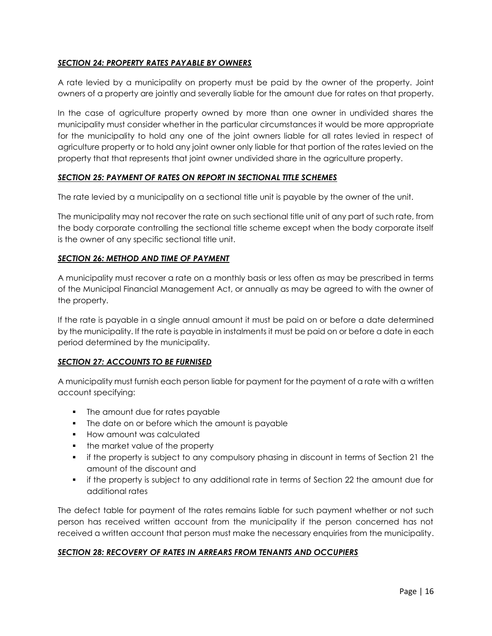### *SECTION 24: PROPERTY RATES PAYABLE BY OWNERS*

A rate levied by a municipality on property must be paid by the owner of the property. Joint owners of a property are jointly and severally liable for the amount due for rates on that property.

In the case of agriculture property owned by more than one owner in undivided shares the municipality must consider whether in the particular circumstances it would be more appropriate for the municipality to hold any one of the joint owners liable for all rates levied in respect of agriculture property or to hold any joint owner only liable for that portion of the rates levied on the property that that represents that joint owner undivided share in the agriculture property.

#### *SECTION 25: PAYMENT OF RATES ON REPORT IN SECTIONAL TITLE SCHEMES*

The rate levied by a municipality on a sectional title unit is payable by the owner of the unit.

The municipality may not recover the rate on such sectional title unit of any part of such rate, from the body corporate controlling the sectional title scheme except when the body corporate itself is the owner of any specific sectional title unit.

#### *SECTION 26: METHOD AND TIME OF PAYMENT*

A municipality must recover a rate on a monthly basis or less often as may be prescribed in terms of the Municipal Financial Management Act, or annually as may be agreed to with the owner of the property.

If the rate is payable in a single annual amount it must be paid on or before a date determined by the municipality. If the rate is payable in instalments it must be paid on or before a date in each period determined by the municipality.

#### *SECTION 27: ACCOUNTS TO BE FURNISED*

A municipality must furnish each person liable for payment for the payment of a rate with a written account specifying:

- The amount due for rates payable
- The date on or before which the amount is payable
- **How amount was calculated**
- the market value of the property
- if the property is subject to any compulsory phasing in discount in terms of Section 21 the amount of the discount and
- if the property is subject to any additional rate in terms of Section 22 the amount due for additional rates

The defect table for payment of the rates remains liable for such payment whether or not such person has received written account from the municipality if the person concerned has not received a written account that person must make the necessary enquiries from the municipality.

#### *SECTION 28: RECOVERY OF RATES IN ARREARS FROM TENANTS AND OCCUPIERS*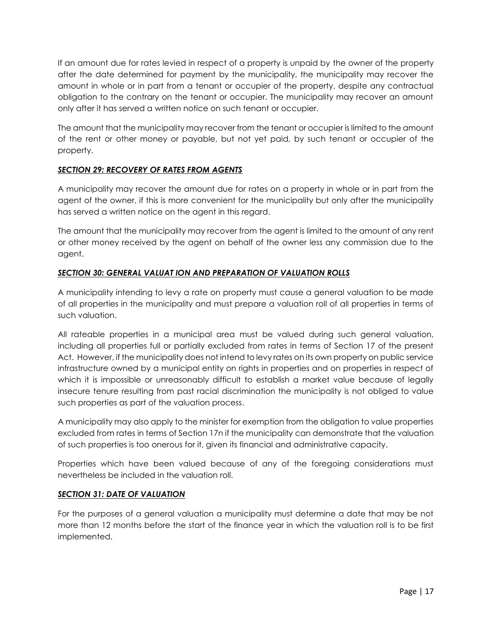If an amount due for rates levied in respect of a property is unpaid by the owner of the property after the date determined for payment by the municipality, the municipality may recover the amount in whole or in part from a tenant or occupier of the property, despite any contractual obligation to the contrary on the tenant or occupier. The municipality may recover an amount only after it has served a written notice on such tenant or occupier.

The amount that the municipality may recover from the tenant or occupier is limited to the amount of the rent or other money or payable, but not yet paid, by such tenant or occupier of the property.

# *SECTION 29: RECOVERY OF RATES FROM AGENTS*

A municipality may recover the amount due for rates on a property in whole or in part from the agent of the owner, if this is more convenient for the municipality but only after the municipality has served a written notice on the agent in this regard.

The amount that the municipality may recover from the agent is limited to the amount of any rent or other money received by the agent on behalf of the owner less any commission due to the agent.

# *SECTION 30: GENERAL VALUAT ION AND PREPARATION OF VALUATION ROLLS*

A municipality intending to levy a rate on property must cause a general valuation to be made of all properties in the municipality and must prepare a valuation roll of all properties in terms of such valuation.

All rateable properties in a municipal area must be valued during such general valuation, including all properties full or partially excluded from rates in terms of Section 17 of the present Act. However, if the municipality does not intend to levy rates on its own property on public service infrastructure owned by a municipal entity on rights in properties and on properties in respect of which it is impossible or unreasonably difficult to establish a market value because of legally insecure tenure resulting from past racial discrimination the municipality is not obliged to value such properties as part of the valuation process.

A municipality may also apply to the minister for exemption from the obligation to value properties excluded from rates in terms of Section 17n if the municipality can demonstrate that the valuation of such properties is too onerous for it, given its financial and administrative capacity.

Properties which have been valued because of any of the foregoing considerations must nevertheless be included in the valuation roll.

# *SECTION 31: DATE OF VALUATION*

For the purposes of a general valuation a municipality must determine a date that may be not more than 12 months before the start of the finance year in which the valuation roll is to be first implemented.